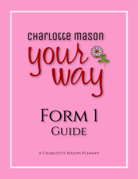

# FORM 1 GUIDE

A CHARLOTTE MASON PLENARY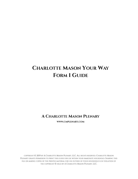# **CHARLOTTE MASON YOUR WAY FORM 1 GUIDE**

### **A CHARLOTTE MASON PLENARY**

**WWW.CMPLENARY.COM**

COPYRIGHT © 2019 BY A CHARLOTTE MASON PLENARY, LLC. ALL RIGHTS RESERVED. CHARLOTTE MASON PLENARY GRANTS PERMISSION TO PRINT THIS GUIDE FOR USE WITHIN YOUR IMMEDIATE HOUSEHOLD. SHARING THIS FILE OR MAKING COPIES OF THE PRINTED MATERIAL FOR USE OUTSIDE OF YOUR HOUSEHOLD IS IN VIOLATION OF THE COPYRIGHT © HELD BY A CHARLOTTE MASON PLENARY, LLC.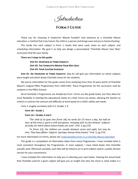CHARLOTTE MASON YOUR WAY FORM GUIDE

Introduction

**Form 1 Guide**

Thank you for choosing A CHARLOTTE MASON PLENARY! And welcome to a Charlotte Mason education, a method that truly honors the child as a person and brings ease and joy to homeschooling.

This Guide lists each subject in Form 1, books that were used, notes on each subject, and scheduling information. My goal is to help you design a personalized "Charlotte Mason Your Way" curriculum that fits your family.

#### **There are 3 steps to this guide:**

**Step #1: Overview of Form Subjects Step #2: The Charlotte Mason Your Way Quiz Step #3: Your Custom Schedule**

**Step #1: An Overview of Form Subjects:** Step #1 will give you information on which subjects were taught and which books Charlotte chose for her students.

My source information for this guide comes from analyzing more than 10 years worth of Charlotte Mason's original PNEU Programmes from 1920-1933. These Programmes list the curriculum used by students in the PNEU Schools.

All of Charlotte's Programmes are divided by Form. Forms are like grade levels, but they allow for more flexibility in meeting the educational needs of a child. Forms are elastic, allowing the teacher to stretch or contract the amount and difficulty of work based on a child's ability and needs.

Form 1 roughly correlates with U.S. Grades 1-3:

#### **Form 1B = Grade 1**

#### **Form 1A = Grades 2 and 3**

*"The child of six goes into [Form 1B]; he works for 2½ hours a day, but half an hour of this time is spent in drill and games. Including drill, he has thirteen 'subjects' of study, for which about sixteen books are used." (Vol. 3, pg 272)*

*"In [Form 1A], the children are usually between seven and eight, but may be nine. They have fifteen 'subjects' (perhaps twenty-three books)." (Vol. 3, pg 275)*

For more information on Forms, please see *[Understanding Forms in a Charlotte Mason Education](https://cmplenary.com/forms/)*.

This guide is a compilation of information taken from many Programmes. I have included what is most consistent throughout the Programmes. In most subjects, I have listed books that Charlotte actually used. Whenever possible, each title will be linked to an in-print edition and/or a public domain version for your convenience.

I have included this information to help you in selecting your own books. Viewing the actual book that Charlotte used for a given subject will give you an insight into why she chose it, what makes it a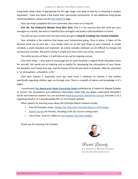#### CHARLOTTE MASON YOUR WAY FORM 1 GUIDE

living book, what makes it appropriate for this age range, and what to look for in choosing a modern equivalent. I have also listed a few books that I personally recommend. To see additional living books recommendations, please see the [CM SUBJECTS](https://cmplenary.com/resources-charlotte-mason-subjects/) page.

Once you have completed the Form Overview, then move on to Step #2.

**Step #2: The Charlotte Mason Your Way Quiz**: This is a fun exercise that will show you your strengths as a family. We want to identify those strengths and build a solid foundation on them!

You will use your results from the Quiz when you get to **Step #3: Creating Your Custom Schedule**.

Your schedule is the machine that keeps your homeschool going. Once in place, it takes all the decision work out of your day – you simply move on to the next thing on your schedule. A simple schedule is easily tweaked and improved. An overly complex schedule can be difficult to change and can become a burden. We want to keep it simple and stress-free! Less stress, more joy!

The entire process of Steps 1-3 will help set you up for ongoing success.

One more thing – I also want to encourage you to read Charlotte's original *Home Education Series*  for yourself. Her words are so inspiring and so helpful for developing the atmosphere of your home, the discipline you'll need each day, and the beauty of the life you want to cultivate. After all, education is "an atmosphere, a discipline, a life."

Start with Volume 1, especially since you have Form 1 students, as Volume 1 was written specifically regarding children ages six through nine. There is a wealth of advice and knowledge in it's pages.

I recommend **[The Annotated Home Education Series](https://cmplenary.com/product-category/cm-volumes/)** published by A Charlotte Mason Plenary of course! The annotations and additional information really help you better understand Charlotte's words and historical context. You can purchase *[Home Education: Annotated Edition](https://cmplenary.com/product/plenary-vol1/)* (Volume 1) as a paperback book or as a downloadable PDF on The Plenary website.

Other options for learning more about the Charlotte Mason method include:

- Free 20 Principles study: *[Finding Your Way with Charlotte Mason](https://cmplenary.com/charlotte-mason-homeschooling-principles-of-education/)'s 20 Principles*
- **[Online Courses](https://cmplenary.com/courses-all/) for Parents, including a CM 101 Course coming soon!**
- Lots of free "how-to" videos on THE PLENARY YOUTUBE CHANNEL

Thank you for choosing The Plenary!



Rachel Lebowitz

A CHARLOTTE MASON PLENARY RACHEL@CMPLENARY.COM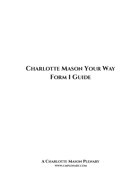# **CHARLOTTE MASON YOUR WAY FORM 1 GUIDE**

**A CHARLOTTE MASON PLENARY WWW.CMPLENARY.COM**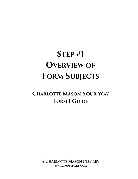# **STEP #1 OVERVIEW OF FORM SUBJECTS**

# **CHARLOTTE MASON YOUR WAY FORM 1 GUIDE**

**A CHARLOTTE MASON PLENARY WWW.CMPLENARY.COM**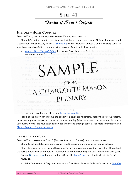CHARLOTTE MASON YOUR WAY FORM GUIDE

Overview of Form 1 Subjects **STEP #1**

#### **HISTORY – HOME COUNTRY**

Refer to Vol. 1, Part 5, Ch. 18, pages 280-295 / Vol. 6, pages 169-175

Charlotte's students studied the history of their home country every year. All Form 1 students used a book about British history called *[An Island Story](https://amzn.to/2OZrAec)* by H.E. Marshall. Choose a primary history spine for your home country. Options for good living books for American History include:

- a. **[America First: Updated Edition](https://amzn.to/2XyXp3j) by Lawton Evans is an excellent history spine and it does not** assume prior knowledge. Please use the UPDATED edition to avoid insensitive language in the
- b. *[A History of the United States and Its People](https://amzn.to/2wYatTe)* by Edward Eggleston is also a good choice, but is not nearly as narrative as *America First.*
- **C**<br>*I* The Book of Introduction to Native Americans this book is lovely.

mix of history about the church and biogra $F$   $ROM$ people associated with the church. You can include a similar history or biography book for you<u>r Form 1</u>A stud**y**nt.

## See the  $\mathsf{F}_\mathbf{A}$ rm  $\mathscr{D}$  at  $\mathsf{F}_\mathbf{A}$  all  $\mathsf{F}_\mathbf{A}$  within Form  $\mathbf{I}_\mathsf{A}$ Or see the **Mistory page. ORAL NARRATION / COMPOSITION**

All scheduled books are to be narrated except poetry.

For help with narration, see the video: [Beginning Narration.](https://cmplenary.com/beginning-narration-charlotte-mason-homeschool/)

Prepping the lesson can improve the quality of a student's narrations. Recap the previous reading, introduce any new people or places in the new reading (view locations on a map), and introduce vocabulary words that your student may not understand through context. For more information, see [Plenary Pointers: Prepping a Lesson.](https://cmplenary.com/preparing-a-lesson-in-a-charlotte-mason-education/)

#### **TALES / LITERATURE**

Refer to Vol. 1, Appendices C and D (Plenary Annotated Edition) / Vol. 6, pages 180-182

Charlotte deliberately chose stories which would inspire wonder and awe in young children.

Students began the study of mythology in Form 1 and continued reading mythology throughout the Forms. Knowledge of mythology is foundational to understanding Western Literature in later years.

See our [Literature page](https://cmplenary.com/resources-charlotte-mason-subjects/literature/) for more options. Or see the [Form 1 page](https://cmplenary.com/resources-charlotte-mason-subjects/charlotte-mason-form-1/) for all subjects within Form 1.

#### **FORM 1B**

a. Fairy Tales – read 3 fairy tales from Grimm's or Hans Christian Andersen's per term; *[The Blue](https://amzn.to/2U1rOEt)*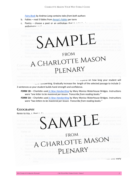#### *[Fairy Book](https://amzn.to/2U1rOEt) by Andrew Lang contains tales from both authors*

- b. Fables read 3 fables from *Aesop'[s Fables](https://amzn.to/305SI2E)* per term
- c. Poetry choose a poet or an anthology that is suitable for young children. Charlotte used anthologies such as *[Fairies and Chimneys](https://amzn.to/2UcX4Rl)* (public domain text [here\)](https://archive.org/details/fairieschimneys00fyle2/page/n10) and *[The Fairy Green](https://archive.org/details/fairygreen00fyle/page/n5)* by

- 
- a. Greek Mythology students took two years to read *[Tales of Troy and Greece](https://amzn.to/2T7WzYE)* by Andrew Lang b. Christian Allegorical **Fairly** students read *[The Pilgrim](https://amzn.to/2W1JYI2)*<sub>*-*</sub> *Pilgrim*<sub></sub> *Studiences* by John Bunyan over the *[Little Pilgrim](https://amzn.to/2AQNpZi)al background, simply substitute a tale*<br>**FROM**
- 

COPYWORA CHARLOTTE MASON

Copywork begins with simple lessons on writing strokes and then individual letters. Once a student mastered every letter, he began writing sentences for copywork. Choose a sentence or two from the student's reading books. The length of each sentence will depend on how long your student will tolerate the activity of handwriting. Gradually increase the length of the selected passage to include 2- 3 sentences as your student builds hand strength and confidence.

- **FORM 1B**  Charlotte used *[A New Handwriting](https://babel.hathitrust.org/cgi/pt?id=nyp.33433006222735;view=1up;seq=9;size=50)* by Mary Monica Waterhouse Bridges. Instructions were *"one letter to be mastered per lesson. Transcribe from reading books."*
- **FORM 1A**  Charlotte used *[A New Handwriting](https://babel.hathitrust.org/cgi/pt?id=nyp.33433006222735;view=1up;seq=9;size=50)* by Mary Monica Waterhouse Bridges. Instructions were *"two letters to be mastered per lesson. Transcribe from reading books."*

### **GEOGRAPHY**

REFER TO VOL. 1, PART 5, CH Charlotte loved the  $\leq$  v of geography. She wrote a series of 5 geography books which in schools across England. Form  $\bigwedge$  udents learned two types of geography: physical geography and

- Physical Geography students read  $F_ROM$ *[Elementary Geography](https://www.amazon.com/Elementary-Geography-Charlotte-Mason/dp/0990552969/ref=sr_1_1?s=books&ie=UTF8&qid=1521997224&sr=1-1&keywords=geography+charlotte+mason)* (free online <u>[PDF\)](https://books.google.com/books?id=YWcDAAAAQAAJ&printsec=frontcover&dq=editions:0_lWtKgZ62bkKDU5#v=onepage&q&f=false) to study physi</u>cal *Next rax SWC is* sweet little book is still suitable for  $\bigcap$  in dry,  $\bigwedge$  if  $\bigcap$  dry'd like an updated and  $\bigvee$  and  $\bigvee$  dressen, it has been reprinted $\bigwedge$ Ma $\bigcup$  Lang  $\bigcap$
- b. Regional Geography students  $\bigoplus_{i=1}^{\infty}$   $\bigotimes_{i=1}^{\infty} \bigotimes_{i=1}^{\infty} \bigotimes_{i=1}^{\infty}$  bout far off places. Choose a travelogue book you think your student would enjoy. Some books that Charlotte used
	- *[The World at Home: Pictures and Scenes from Far Off Lands](https://archive.org/details/worldathomeorpi00kirbgoog/page/n9)* by Elizabeth and Mary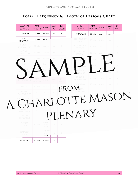### **FORM 1 FREQUENCY & LENGTH OF LESSONS CHART**

| <b>ESSENTIAL</b><br><b>SUBJECTS</b>    | <b>MAX</b><br><b>LENGTH</b> | <b>REPEAT</b>             | <b>AM</b><br><b>PM</b> | L/R<br><b>BRAIN</b> | <b>OTHER</b><br><b>SUBJECTS</b>          | <b>MAX</b><br><b>LENGTH</b> | <b>REPEAT</b> | <b>AM</b><br><b>PM</b> | L/R<br><b>BRAIN</b> |  |
|----------------------------------------|-----------------------------|---------------------------|------------------------|---------------------|------------------------------------------|-----------------------------|---------------|------------------------|---------------------|--|
| COPYWORK                               | 20 min.                     | 3x week                   | AM                     | R                   | <b>HISTORY TALES</b>                     | 30 min.                     | 1x week       | AM                     |                     |  |
| TALES /<br>LITERATURE                  | 20 min                      | 2x week                   | AM                     |                     | <b>BIBLE / RELIGIOUS</b><br><b>STUDY</b> | 20 min.                     | 4x week       | AM.                    |                     |  |
| <b>HISTORY-</b><br><b>HOME COUNTRY</b> | 30 min.                     | 1x week                   | AM.                    | L                   | <b>GEOGRAPHY</b><br>PHYSICAL             | 10 min.                     | 1x week       | AM.                    | R                   |  |
| <b>SCIENCE -</b><br><b>NATURE LORE</b> | 20 min.                     | 1x week                   | AM                     | L                   | <b>GEOGRAPHY</b><br><b>REGIONAL</b>      | 10 min.                     | 1x week       |                        | R                   |  |
|                                        | 20 min.                     | 6x week                   | AM                     |                     |                                          | min.                        | $1x$ we       |                        | R                   |  |
|                                        |                             | 5x week                   |                        |                     |                                          | min.                        |               |                        | R                   |  |
|                                        |                             | wee                       |                        |                     |                                          |                             |               |                        | R                   |  |
| <b>JOY SUBJECTS</b>                    | MAX                         | <b>REPEAT</b>             | AM                     | L/R                 | <b>FOREIGN</b><br><b>LANGUAGE SONG</b>   | $15$ min.                   | 1x week       | AM                     | т                   |  |
| <b>POETRY</b>                          | LENGTH<br>10 min.           | 5x week                   | PM<br>PM               | <b>BRAIN</b>        | RECITATION                               | 10 min.                     | 3x week       | AM.                    | R                   |  |
| <b>SCIENCE-</b><br><b>NATURE STUDY</b> |                             |                           |                        | FRC                 | INSTRUMENT                               |                             |               | <b>PM</b>              |                     |  |
|                                        |                             |                           |                        |                     |                                          |                             |               |                        |                     |  |
|                                        |                             |                           |                        |                     | ARLOTTE MASON                            |                             |               |                        |                     |  |
| NORK<br><b>HANDICRAFTS</b>             | 20                          | 4x week AM                |                        |                     |                                          |                             |               |                        |                     |  |
| <b>MUSICAL</b><br>INSTRUMENT           |                             |                           |                        |                     | LENARY                                   |                             |               |                        |                     |  |
| <b>PICTURE</b><br>STUDY                | 20 min.                     | 1x every<br>other<br>week | PM                     | $\sim$ 1.           |                                          |                             |               |                        |                     |  |
| COMPOSER<br><b>STUDY</b>               |                             | 1x every<br>other<br>week | PM                     | $\mathbb{L}$        |                                          |                             |               |                        |                     |  |
| <b>DRAWING</b>                         | 30 min.                     | 3x week                   | PM                     |                     |                                          |                             |               |                        |                     |  |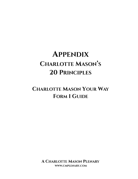# **APPENDIX CHARLOTTE MASON'S 20 PRINCIPLES**

# **CHARLOTTE MASON YOUR WAY FORM 1 GUIDE**

**A CHARLOTTE MASON PLENARY WWW.CMPLENARY.COM**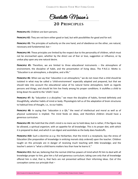Charlotte Mason' s

### **20 PRINCIPLES**

**Principle #1:** Children are born persons.

**PRINCIPLE #2:** They are not born either good or bad, but with possibilities for good and for evil.

**Principle #3:** The principles of authority on the one hand, and of obedience on the other, are natural, necessary and fundamental; but –

**Principle #4:** These principles are limited by the respect due to the personality of children, which must not be encroached upon, whether by the direct use of fear or love, suggestion or influence, or by undue play upon any one natural desire.

**Principle #5:** Therefore, we are limited to three educational instruments – the atmosphere of environment, the discipline of habit, and the presentation of living ideas. The P.N.E.U. Motto is: "Education is an atmosphere, a discipline, and a life."

**Principle #6:** When we say that *"education is an atmosphere,"* we do not mean that a child should be isolated in what may be called a 'child-environment' especially adapted and prepared, but that we should take into account the educational value of his natural home atmosphere, both as regards persons and things, and should let him live freely among his proper conditions. It stultifies a child to bring down his world to the 'child's' level.

**Principle #7:** By *"education is a discipline,"* we mean the discipline of habits, formed definitely and thoughtfully, whether habits of mind or body. Physiologists tell us of the adaptation of brain structures to habitual lines of thought, i.e., to our habits.

**Principle #8:** In saying that *"education is a life,"* the need of intellectual and moral as well as of physical sustenance is implied. The mind feeds on ideas, and therefore children should have a generous curriculum.

**Principle #9:** We hold that the child's mind is no mere *sac* to hold ideas; but is rather, if the figure may be allowed, a spiritual *organism*, with an appetite for all knowledge. This is its proper diet, with which it is prepared to deal; and which it can digest and assimilate as the body does foodstuffs.

**Principle #10:** Such a doctrine as *e.g.* the Herbartian, that the mind is a receptacle, lays the stress of Education (the preparation of knowledge in enticing morsels duly ordered) upon the teacher. Children taught on this principle are in danger of receiving much teaching with little knowledge; and the teacher's axiom is "what a child learns matters less than how he learns it."

**Principle #11:** But we, believing that the normal child has powers of mind which fit him to deal with all knowledge proper to him, give him a full and generous curriculum; taking care only that all knowledge offered him is vital, that is, that facts are not presented without their informing ideas. Out of this conception comes our principle that –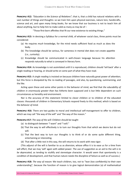**Principle #12:** *"Education is the Science of Relations"*; that is, that a child has natural relations with a vast number of things and thoughts: so we train him upon physical exercises, nature lore, handicrafts, science and art, and upon *many living books*, for we know that our business is not to teach him all about anything, but to help him to make valid as many as may be of –

"Those first-born affinities that fit our new existence to existing things."

**Principle #13:** In devising a Syllabus for a normal child, of whatever social class, three points must be considered:

- (a) He requires *much* knowledge, for the mind needs sufficient food as much as does the body.
- (b) The knowledge should be various, for sameness in mental diet does not create appetite (*i.e.*, curiosity).
- (c) Knowledge should be communicated in well-chosen language because his attention responds naturally to what is conveyed in literary form.

**Principle #14:** As knowledge is not assimilated until it is reproduced, children should 'tell back' after a single reading or hearing, or should write on some part of what they have read.

**Principle #15:** A *single reading* is insisted on because children have naturally great power of attention; but this force is dissipated by the re-reading of passages, and also, by questioning, summarizing, and the like.

Acting upon these and some other points in the behavior of mind, we find that *the educability of children in enormously greater than has hitherto been suppose*d and is but little dependent on such circumstances as heredity and environment.

Nor is the accuracy of this statement limited to clever children or to children of the educated classes: thousands of children in Elementary Schools respond freely to this method, which is based on the *behavior of mind.*

**PRINCIPLE #16:** There are two guides to moral and intellectual self-management to offer to children, which we may call "the way of the will" and "the way of the reason."

**Principle #17:** *The way of the will:* Children should be taught

- (a) to distinguish between "I want" and "I will."
- (b) That the way to will effectively is to tum our thoughts from that which we desire but do not will.
- (c) That the best way to turn our thoughts is to think of or do some quite different thing, entertaining or interesting.
- (d) That after a little rest in this way, the will returns to its work with new vigor.

(This adjunct of the will is familiar to us as *diversion*, whose office it is to ease us for a time from will effort, that we may 'will' again with added power. The use of *suggestion* as an aid to the will *is to be deprecated*, as tending to stultify and stereotype character. It would seem that spontaneity is a condition of development, and that human nature needs the discipline of failure as well as of success.)

**Principle #18:** *The way of reason:* We teach children, too, not to "lean (too confidently) to their own understanding"; because the function of reason is to give logical demonstration (a) of mathematical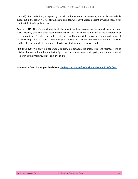truth, (b) of an initial idea, accepted by the will. In the former case, reason is, practically, an infallible guide, but in the latter, it is not always a safe one; for, whether that idea be right or wrong, reason will confirm it by irrefragable proofs.

**Principle #19:** Therefore, children should be taught, as they become mature enough to understand such teaching, that the chief responsibility which rests on them as *persons* is the acceptance or rejection of ideas. To help them in this choice we give them principles of conduct, and a wide range of the knowledge fitted to them. These principles should save children from some of the loose thinking and heedless action which cause most of us to live at a lower level than we need.

**Principle #20:** We allow no separation to grow up between the intellectual and 'spiritual' life of children, but teach them that the Divine Spirit has constant access to their spirits, and is their continual Helper in all the interests, duties and joys of life.

**Join us for a free 20 Principles Study here:** *[Finding Your Way with Charlotte Mason](https://cmplenary.com/charlotte-mason-homeschooling-principles-of-education/)'s 20 Principles*